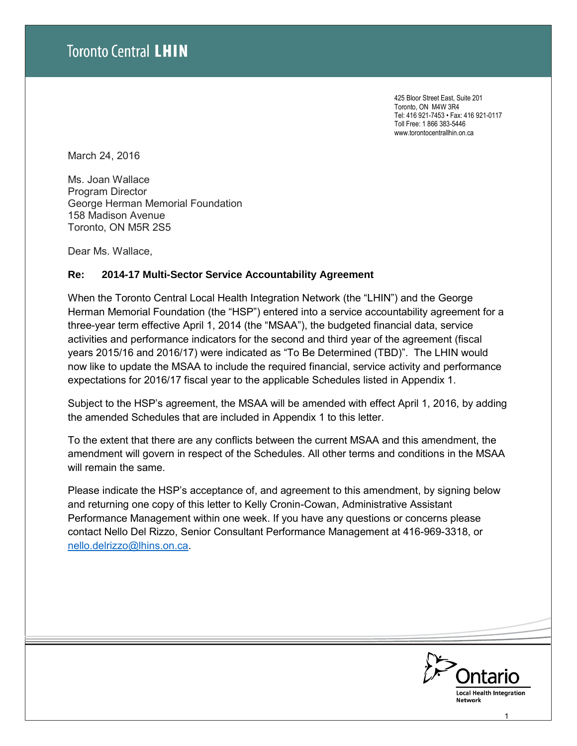425 Bloor Street East, Suite 201 Toronto, ON M4W 3R4 Tel: 416 921-7453 • Fax: 416 921-0117 Toll Free: 1 866 383-5446 www.torontocentrallhin.on.ca

March 24, 2016

Ms. Joan Wallace Program Director George Herman Memorial Foundation 158 Madison Avenue Toronto, ON M5R 2S5

Dear Ms. Wallace,

### **Re: 2014-17 Multi-Sector Service Accountability Agreement**

When the Toronto Central Local Health Integration Network (the "LHIN") and the George Herman Memorial Foundation (the "HSP") entered into a service accountability agreement for a three-year term effective April 1, 2014 (the "MSAA"), the budgeted financial data, service activities and performance indicators for the second and third year of the agreement (fiscal years 2015/16 and 2016/17) were indicated as "To Be Determined (TBD)". The LHIN would now like to update the MSAA to include the required financial, service activity and performance expectations for 2016/17 fiscal year to the applicable Schedules listed in Appendix 1.

Subject to the HSP's agreement, the MSAA will be amended with effect April 1, 2016, by adding the amended Schedules that are included in Appendix 1 to this letter.

To the extent that there are any conflicts between the current MSAA and this amendment, the amendment will govern in respect of the Schedules. All other terms and conditions in the MSAA will remain the same.

Please indicate the HSP's acceptance of, and agreement to this amendment, by signing below and returning one copy of this letter to Kelly Cronin-Cowan, Administrative Assistant Performance Management within one week. If you have any questions or concerns please contact Nello Del Rizzo, Senior Consultant Performance Management at 416-969-3318, or [nello.delrizzo@lhins.on.ca.](mailto:nello.delrizzo@lhins.on.ca)



1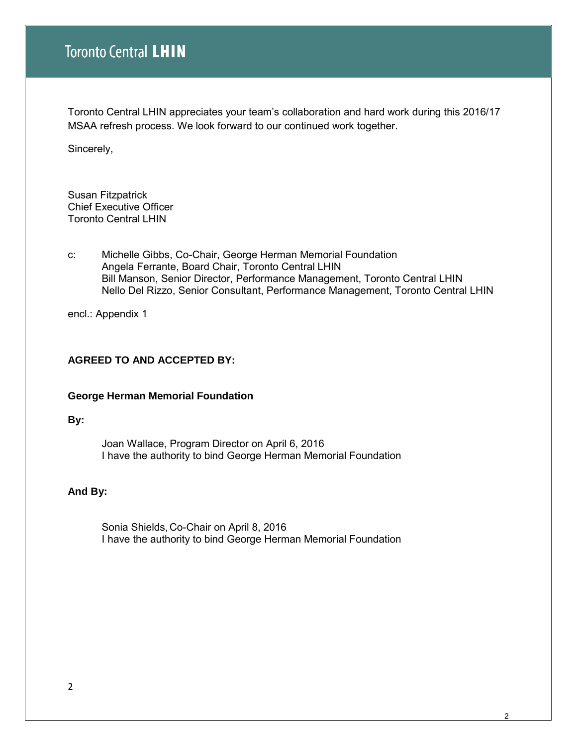Toronto Central LHIN appreciates your team's collaboration and hard work during this 2016/17 MSAA refresh process. We look forward to our continued work together.

Sincerely,

Susan Fitzpatrick Chief Executive Officer Toronto Central LHIN

c: Michelle Gibbs, Co-Chair, George Herman Memorial Foundation Angela Ferrante, Board Chair, Toronto Central LHIN Bill Manson, Senior Director, Performance Management, Toronto Central LHIN Nello Del Rizzo, Senior Consultant, Performance Management, Toronto Central LHIN

encl.: Appendix 1

## **AGREED TO AND ACCEPTED BY:**

### **George Herman Memorial Foundation**

#### **By:**

 Joan Wallace, Program Director on April 6, 2016 I have the authority to bind George Herman Memorial Foundation

### **And By:**

 Sonia Shields, Co-Chair on April 8, 2016 I have the authority to bind George Herman Memorial Foundation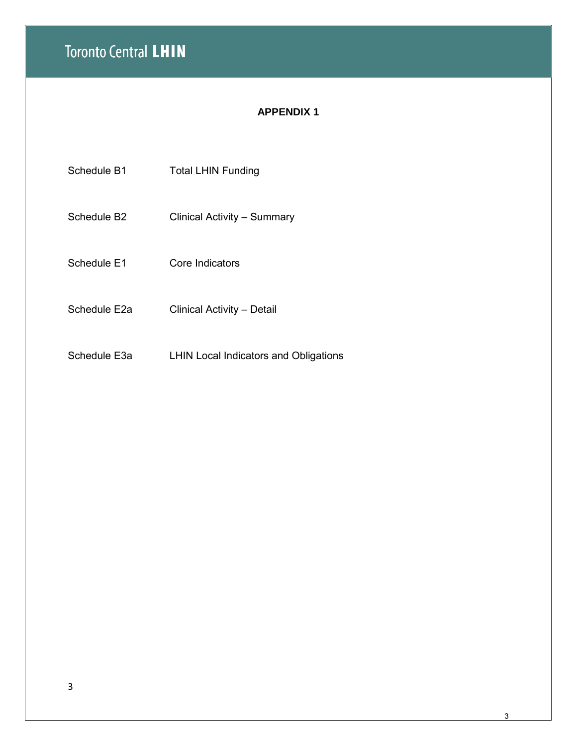# **Toronto Central LHIN**

# **APPENDIX 1**

Schedule B1 Total LHIN Funding

- Schedule B2 Clinical Activity Summary
- Schedule E1 Core Indicators
- Schedule E2a Clinical Activity Detail
- Schedule E3a LHIN Local Indicators and Obligations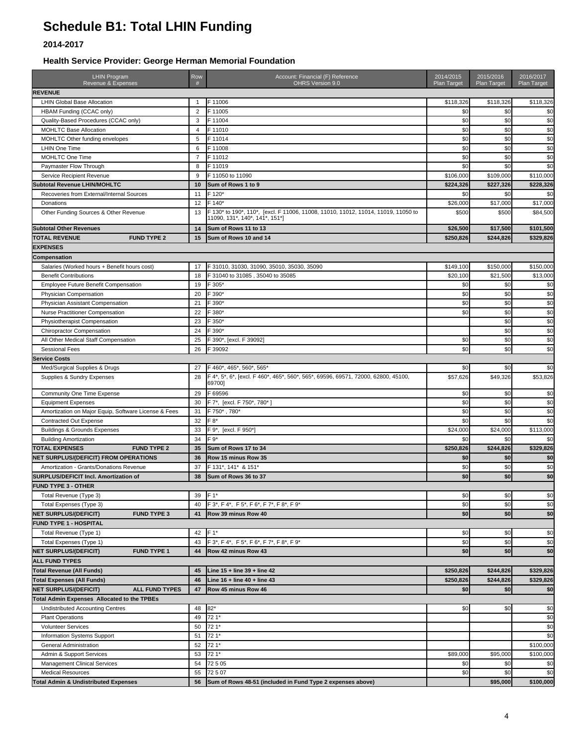# **Schedule B1: Total LHIN Funding**

### **2014-2017**

**Health Service Provider: George Herman Memorial Foundation**

| <b>LHIN Program</b><br>Revenue & Expenses             | Row<br>#       | Account: Financial (F) Reference<br>OHRS Version 9.0                                                                | 2014/2015<br><b>Plan Target</b> | 2015/2016<br><b>Plan Target</b> | 2016/2017<br>Plan Target |
|-------------------------------------------------------|----------------|---------------------------------------------------------------------------------------------------------------------|---------------------------------|---------------------------------|--------------------------|
| <b>REVENUE</b>                                        |                |                                                                                                                     |                                 |                                 |                          |
| <b>LHIN Global Base Allocation</b>                    | 1              | F 11006                                                                                                             | \$118,326                       | \$118,326                       | \$118,326                |
| HBAM Funding (CCAC only)                              | $\overline{2}$ | F 11005                                                                                                             | \$0                             | \$0                             | \$0                      |
| Quality-Based Procedures (CCAC only)                  | 3              | F 11004                                                                                                             | \$0                             | \$0                             | \$0                      |
| <b>MOHLTC Base Allocation</b>                         | $\overline{4}$ | F 11010                                                                                                             | \$0                             | \$0                             | \$0                      |
| MOHLTC Other funding envelopes                        | 5              | F 11014                                                                                                             | \$0                             | \$0                             | \$0                      |
| <b>LHIN One Time</b>                                  | 6              | F 11008                                                                                                             | \$0                             | \$0                             | $\overline{50}$          |
| <b>MOHLTC One Time</b>                                | $\overline{7}$ | F 11012                                                                                                             | \$0                             | \$0                             | \$0                      |
| Paymaster Flow Through                                | 8              | F 11019                                                                                                             | \$0                             | \$0                             | \$0                      |
| Service Recipient Revenue                             | 9              | F 11050 to 11090                                                                                                    | \$106,000                       | \$109,000                       | \$110,000                |
| <b>Subtotal Revenue LHIN/MOHLTC</b>                   | 10             | Sum of Rows 1 to 9                                                                                                  | \$224,326                       | \$227.326                       | \$228,326                |
| Recoveries from External/Internal Sources             | 11             | F 120*                                                                                                              | \$0                             | \$C                             | \$0                      |
| Donations                                             | 12             | F 140*                                                                                                              | \$26,000                        | \$17,000                        | \$17,000                 |
| Other Funding Sources & Other Revenue                 | 13             | F 130* to 190*, 110*, [excl. F 11006, 11008, 11010, 11012, 11014, 11019, 11050 to<br>11090, 131*, 140*, 141*, 151*] | \$500                           | \$500                           | \$84,500                 |
| <b>Subtotal Other Revenues</b>                        | 14             | Sum of Rows 11 to 13                                                                                                | \$26,500                        | \$17,500                        | \$101,500                |
| <b>TOTAL REVENUE</b><br><b>FUND TYPE 2</b>            | 15             | Sum of Rows 10 and 14                                                                                               | \$250,826                       | \$244,826                       | \$329,826                |
| <b>EXPENSES</b>                                       |                |                                                                                                                     |                                 |                                 |                          |
| Compensation                                          |                |                                                                                                                     |                                 |                                 |                          |
| Salaries (Worked hours + Benefit hours cost)          | 17             | F 31010, 31030, 31090, 35010, 35030, 35090                                                                          | \$149,100                       | \$150,000                       | \$150,000                |
| <b>Benefit Contributions</b>                          | 18             | F 31040 to 31085, 35040 to 35085                                                                                    | \$20,100                        | \$21,500                        | \$13,000                 |
| Employee Future Benefit Compensation                  | 19             | F 305*                                                                                                              | \$0                             | \$0                             | \$0                      |
| Physician Compensation                                | 20             | F 390*                                                                                                              | \$0                             | \$0                             | \$0                      |
| Physician Assistant Compensation                      | 21             | F 390*                                                                                                              | \$0                             | \$0                             | \$0                      |
| Nurse Practitioner Compensation                       | 22             | F 380*                                                                                                              | \$0                             | \$0                             | \$0                      |
| Physiotherapist Compensation                          | 23             | F 350*                                                                                                              |                                 | \$0                             | \$0                      |
| <b>Chiropractor Compensation</b>                      | 24             | F 390*                                                                                                              |                                 | \$0                             | \$0                      |
| All Other Medical Staff Compensation                  | 25             | F 390*, [excl. F 39092]                                                                                             | \$0                             | \$0                             | \$0                      |
| <b>Sessional Fees</b>                                 | 26             | F 39092                                                                                                             | \$0                             | \$0                             | \$0                      |
| <b>Service Costs</b>                                  |                |                                                                                                                     |                                 |                                 |                          |
| Med/Surgical Supplies & Drugs                         | 27             | F 460*, 465*, 560*, 565*                                                                                            | \$0                             | \$0                             | \$0                      |
| Supplies & Sundry Expenses                            | 28             | F 4*, 5*, 6*, [excl. F 460*, 465*, 560*, 565*, 69596, 69571, 72000, 62800, 45100,                                   | \$57,626                        | \$49,326                        | \$53,826                 |
|                                                       |                | 69700]                                                                                                              |                                 |                                 |                          |
| Community One Time Expense                            | 29             | F 69596                                                                                                             | \$0                             | \$0                             | \$0                      |
| <b>Equipment Expenses</b>                             | 30             | F 7*, [excl. F 750*, 780*]                                                                                          | \$0                             | \$0                             | \$0                      |
| Amortization on Major Equip, Software License & Fees  | 31             | F 750*, 780*                                                                                                        | \$0                             | \$0                             | \$0                      |
| Contracted Out Expense                                | 32             | F 8*                                                                                                                | \$0                             | \$0                             | \$0                      |
| <b>Buildings &amp; Grounds Expenses</b>               | 33             | F 9*, [excl. F 950*]                                                                                                | \$24,000                        | \$24,000                        | \$113,000                |
| <b>Building Amortization</b>                          | 34             | F 9*                                                                                                                | \$0                             | \$0                             | \$0                      |
| <b>FUND TYPE 2</b><br><b>TOTAL EXPENSES</b>           | 35             | Sum of Rows 17 to 34                                                                                                | \$250,826                       | \$244,826                       | \$329,826                |
| NET SURPLUS/(DEFICIT) FROM OPERATIONS                 | 36             | Row 15 minus Row 35                                                                                                 | \$0                             | \$0                             | \$0                      |
| Amortization - Grants/Donations Revenue               | 37             | F 131*, 141* & 151*                                                                                                 | \$0                             | \$0                             | \$0                      |
| SURPLUS/DEFICIT Incl. Amortization of                 | 38             | Sum of Rows 36 to 37                                                                                                | \$0                             | \$0                             | \$0                      |
| <b>FUND TYPE 3 - OTHER</b>                            |                |                                                                                                                     |                                 |                                 |                          |
| Total Revenue (Type 3)                                | 39             | F 1*                                                                                                                | \$0                             | \$0                             | $ 10\rangle$             |
| Total Expenses (Type 3)                               | 40             | F 3*, F 4*, F 5*, F 6*, F 7*, F 8*, F 9*                                                                            | \$0                             | \$0                             | \$0                      |
| <b>NET SURPLUS/(DEFICIT)</b><br><b>FUND TYPE 3</b>    | 41             | Row 39 minus Row 40                                                                                                 | \$0                             | \$0                             |                          |
|                                                       |                |                                                                                                                     |                                 |                                 | \$0                      |
| FUND TYPE 1 - HOSPITAL                                |                |                                                                                                                     |                                 |                                 |                          |
| Total Revenue (Type 1)                                | 42             | $F 1*$                                                                                                              | \$0                             | \$0                             | \$0                      |
| Total Expenses (Type 1)                               | 43             | F 3*, F 4*, F 5*, F 6*, F 7*, F 8*, F 9*                                                                            | \$0                             | \$0                             | \$0                      |
| <b>NET SURPLUS/(DEFICIT)</b><br><b>FUND TYPE 1</b>    | 44             | Row 42 minus Row 43                                                                                                 | \$0                             | \$0                             | \$0                      |
| <b>ALL FUND TYPES</b>                                 |                |                                                                                                                     |                                 |                                 |                          |
| <b>Total Revenue (All Funds)</b>                      | 45             | Line $15 +$ line $39 +$ line $42$                                                                                   | \$250,826                       | \$244,826                       | \$329,826                |
| <b>Total Expenses (All Funds)</b>                     | 46             | Line $16 +$ line $40 +$ line $43$                                                                                   | \$250,826                       | \$244,826                       | \$329,826                |
| <b>NET SURPLUS/(DEFICIT)</b><br><b>ALL FUND TYPES</b> | 47             | Row 45 minus Row 46                                                                                                 | \$0                             | \$0                             | \$0                      |
| <b>Total Admin Expenses Allocated to the TPBEs</b>    |                |                                                                                                                     |                                 |                                 |                          |
| <b>Undistributed Accounting Centres</b>               | 48             | $82*$                                                                                                               | \$0                             | \$0                             | \$0                      |
| <b>Plant Operations</b>                               | 49             | 72 1*                                                                                                               |                                 |                                 | \$0                      |
| <b>Volunteer Services</b>                             | 50             | 72 1*                                                                                                               |                                 |                                 | \$0                      |
| Information Systems Support                           | 51             | 72 1*                                                                                                               |                                 |                                 | \$0                      |
| General Administration                                | 52             | 72 1*                                                                                                               |                                 |                                 | \$100,000                |
| Admin & Support Services                              | 53             | 72 1*                                                                                                               | \$89,000                        | \$95,000                        | \$100,000                |
| <b>Management Clinical Services</b>                   | 54             | 72505                                                                                                               | \$0                             | \$0                             | \$0                      |
| <b>Medical Resources</b>                              | 55             | 72507                                                                                                               | \$0                             | \$0                             | \$0                      |
| <b>Total Admin &amp; Undistributed Expenses</b>       | 56             | Sum of Rows 48-51 (included in Fund Type 2 expenses above)                                                          |                                 | \$95,000                        | \$100,000                |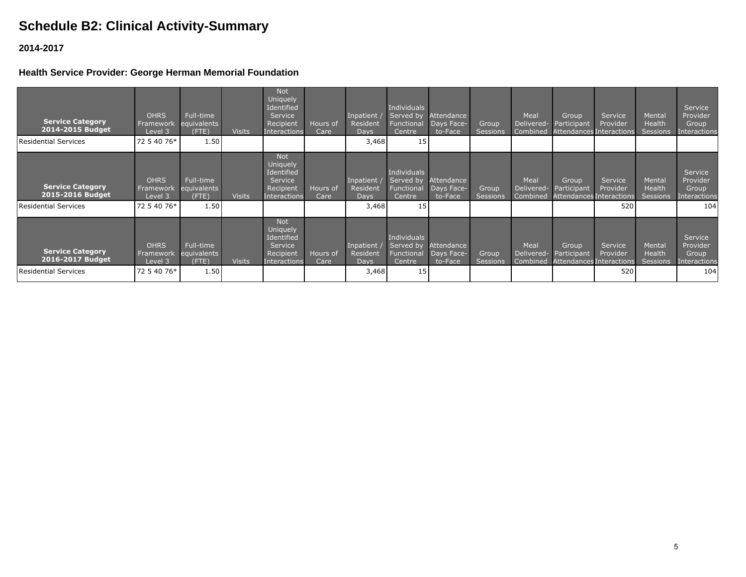# **Schedule B2: Clinical Activity-Summary**

## **2014-2017**

## **Health Service Provider: George Herman Memorial Foundation**

| <b>Service Category</b><br>2014-2015 Budget | <b>OHRS</b><br>Framework<br>Level 3 | Full-time<br>equivalents<br>$($ FTE) | <b>Visits</b> | <b>Not</b><br><b>Uniquely</b><br>Identified<br>Service<br>Recipient<br>Interactions        | Hours of<br>Care | Inpatient<br>Resident<br><b>Days</b> | <b>Individuals</b><br>Served by<br>Functional<br>Centre | Attendance<br>Days Face-<br>to-Face | Group<br>Sessions        | Meal<br>Delivered-<br>Combined | Group<br>Participant<br>Attendances Interactions          | Service<br>Provider                             | Mental<br>Health<br><b>Sessions</b> | Service<br>Provider<br>Group<br><b>Interactions</b> |
|---------------------------------------------|-------------------------------------|--------------------------------------|---------------|--------------------------------------------------------------------------------------------|------------------|--------------------------------------|---------------------------------------------------------|-------------------------------------|--------------------------|--------------------------------|-----------------------------------------------------------|-------------------------------------------------|-------------------------------------|-----------------------------------------------------|
| Residential Services                        | 72 5 40 76*                         | 1.50                                 |               |                                                                                            |                  | 3,468                                | 15 <sub>l</sub>                                         |                                     |                          |                                |                                                           |                                                 |                                     |                                                     |
| <b>Service Category</b><br>2015-2016 Budget | <b>OHRS</b><br>Framework<br>Level 3 | Full-time<br>equivalents<br>$($ FTE) | <b>Visits</b> | <b>Not</b><br><b>Uniquely</b><br>Identified<br>Service<br>Recipient<br>Interactions        | Hours of<br>Care | Inpatient<br>Resident<br><b>Days</b> | Individuals<br>Served by<br>Functional<br>Centre        | Attendance<br>Days Face-<br>to-Face | Group<br><b>Sessions</b> | Meal<br>Delivered-<br>Combined | Group<br>Participant                                      | Service<br>Provider<br>Attendances Interactions | Mental<br>Health<br><b>Sessions</b> | Service<br>Provider<br>Group<br><b>Interactions</b> |
| Residential Services                        | 72 5 40 76*                         | 1.50                                 |               |                                                                                            |                  | 3,468                                | 15                                                      |                                     |                          |                                |                                                           | 520                                             |                                     | 104                                                 |
| <b>Service Category</b><br>2016-2017 Budget | <b>OHRS</b><br>Framework<br>Level 3 | Full-time<br>equivalents<br>$($ FTE) | <b>Visits</b> | <b>Not</b><br><b>Uniquely</b><br>Identified<br>Service<br>Recipient<br><b>Interactions</b> | Hours of<br>Care | Inpatient<br>Resident<br><b>Days</b> | <b>Individuals</b><br>Served by<br>Functional<br>Centre | Attendance<br>Days Face-<br>to-Face | Group<br><b>Sessions</b> | Meal<br>Delivered-             | Group<br>Participant<br>Combined Attendances Interactions | Service<br>Provider                             | Mental<br>Health<br><b>Sessions</b> | Service<br>Provider<br>Group<br>Interactions        |
| Residential Services                        | 72 5 40 76*                         | 1.50                                 |               |                                                                                            |                  | 3,468                                | 15                                                      |                                     |                          |                                |                                                           | 520                                             |                                     | 104                                                 |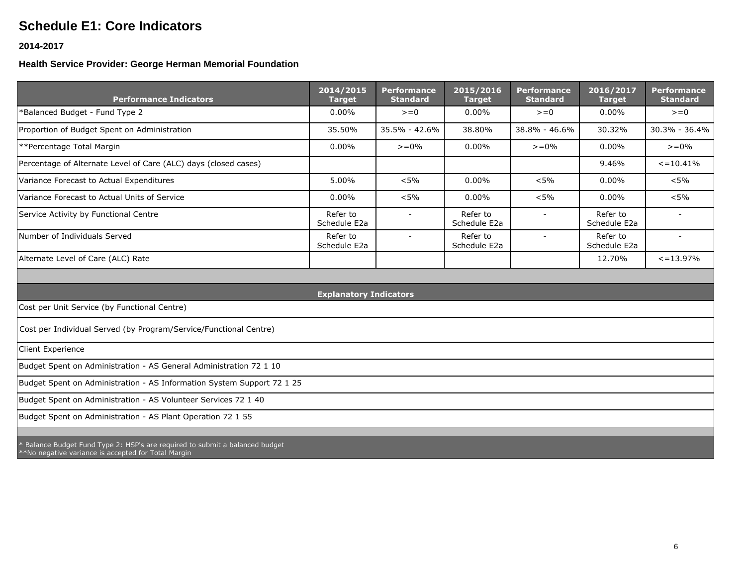# **Schedule E1: Core Indicators**

### **2014-2017**

# **Health Service Provider: George Herman Memorial Foundation**

| <b>Performance Indicators</b>                                                | 2014/2015<br><b>Target</b>    | <b>Performance</b><br><b>Standard</b> | 2015/2016<br><b>Target</b> | <b>Performance</b><br><b>Standard</b> | 2016/2017<br><b>Target</b> | <b>Performance</b><br><b>Standard</b> |
|------------------------------------------------------------------------------|-------------------------------|---------------------------------------|----------------------------|---------------------------------------|----------------------------|---------------------------------------|
| *Balanced Budget - Fund Type 2                                               | 0.00%                         | $>=0$                                 | $0.00\%$                   | $>=0$                                 | $0.00\%$                   | $>=0$                                 |
| Proportion of Budget Spent on Administration                                 | 35.50%                        | 35.5% - 42.6%                         | 38.80%                     | 38.8% - 46.6%                         | 30.32%                     | $30.3\% - 36.4\%$                     |
| **Percentage Total Margin                                                    | $0.00\%$                      | $> = 0\%$                             | $0.00\%$                   | $> = 0\%$                             | $0.00\%$                   | $> = 0\%$                             |
| Percentage of Alternate Level of Care (ALC) days (closed cases)              |                               |                                       |                            |                                       | 9.46%                      | $\leq$ = 10.41%                       |
| Variance Forecast to Actual Expenditures                                     | 5.00%                         | $< 5\%$                               | $0.00\%$                   | $< 5\%$                               | $0.00\%$                   | $< 5\%$                               |
| Variance Forecast to Actual Units of Service                                 | $0.00\%$                      | $< 5\%$                               | $0.00\%$                   | $< 5\%$                               | $0.00\%$                   | $< 5\%$                               |
| Service Activity by Functional Centre                                        | Refer to<br>Schedule E2a      | $\overline{\phantom{a}}$              | Refer to<br>Schedule E2a   |                                       | Refer to<br>Schedule E2a   |                                       |
| Number of Individuals Served                                                 | Refer to<br>Schedule E2a      | $\sim$                                | Refer to<br>Schedule E2a   | $\overline{\phantom{a}}$              | Refer to<br>Schedule E2a   |                                       |
| Alternate Level of Care (ALC) Rate                                           |                               |                                       |                            |                                       | 12.70%                     | $\leq$ = 13.97%                       |
|                                                                              |                               |                                       |                            |                                       |                            |                                       |
|                                                                              | <b>Explanatory Indicators</b> |                                       |                            |                                       |                            |                                       |
| Cost per Unit Service (by Functional Centre)                                 |                               |                                       |                            |                                       |                            |                                       |
| Cost per Individual Served (by Program/Service/Functional Centre)            |                               |                                       |                            |                                       |                            |                                       |
| Client Experience                                                            |                               |                                       |                            |                                       |                            |                                       |
| Budget Spent on Administration - AS General Administration 72 1 10           |                               |                                       |                            |                                       |                            |                                       |
| Budget Spent on Administration - AS Information System Support 72 1 25       |                               |                                       |                            |                                       |                            |                                       |
| Budget Spent on Administration - AS Volunteer Services 72 1 40               |                               |                                       |                            |                                       |                            |                                       |
| Budget Spent on Administration - AS Plant Operation 72 1 55                  |                               |                                       |                            |                                       |                            |                                       |
|                                                                              |                               |                                       |                            |                                       |                            |                                       |
| * Balance Budget Fund Type 2: HSP's are required to submit a balanced budget |                               |                                       |                            |                                       |                            |                                       |

\*\*No negative variance is accepted for Total Margin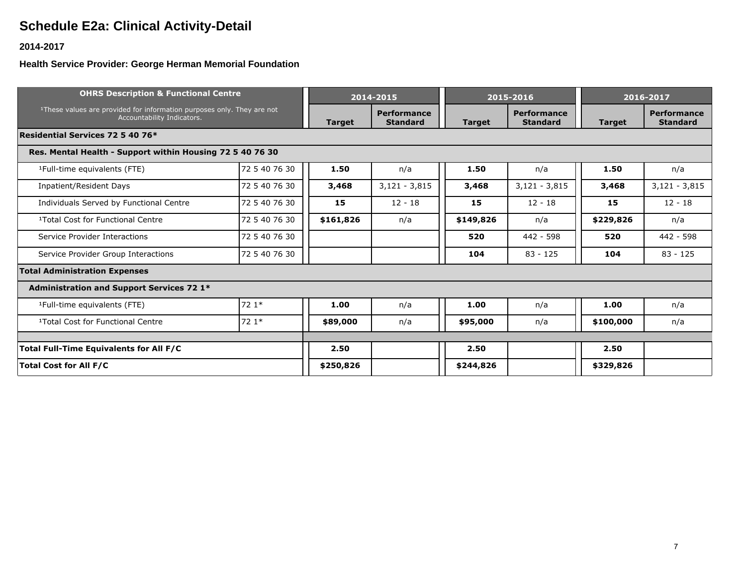# **Schedule E2a: Clinical Activity-Detail**

## **2014-2017**

## **Health Service Provider: George Herman Memorial Foundation**

| <b>OHRS Description &amp; Functional Centre</b>                                                                  |               | 2014-2015                      |                 | 2015-2016                             | 2016-2017       |                                       |                 |  |  |  |
|------------------------------------------------------------------------------------------------------------------|---------------|--------------------------------|-----------------|---------------------------------------|-----------------|---------------------------------------|-----------------|--|--|--|
| <sup>1</sup> These values are provided for information purposes only. They are not<br>Accountability Indicators. | <b>Target</b> | Performance<br><b>Standard</b> | <b>Target</b>   | <b>Performance</b><br><b>Standard</b> | <b>Target</b>   | <b>Performance</b><br><b>Standard</b> |                 |  |  |  |
| Residential Services 72 5 40 76*                                                                                 |               |                                |                 |                                       |                 |                                       |                 |  |  |  |
| Res. Mental Health - Support within Housing 72 5 40 76 30                                                        |               |                                |                 |                                       |                 |                                       |                 |  |  |  |
| <sup>1</sup> Full-time equivalents (FTE)                                                                         | 72 5 40 76 30 | 1.50                           | n/a             | 1.50                                  | n/a             | 1.50                                  | n/a             |  |  |  |
| Inpatient/Resident Days                                                                                          | 72 5 40 76 30 | 3,468                          | $3,121 - 3,815$ | 3,468                                 | $3,121 - 3,815$ | 3,468                                 | $3,121 - 3,815$ |  |  |  |
| Individuals Served by Functional Centre                                                                          | 72 5 40 76 30 | 15                             | $12 - 18$       | 15                                    | $12 - 18$       | 15                                    | $12 - 18$       |  |  |  |
| <sup>1</sup> Total Cost for Functional Centre                                                                    | 72 5 40 76 30 | \$161,826                      | n/a             | \$149,826                             | n/a             | \$229,826                             | n/a             |  |  |  |
| Service Provider Interactions                                                                                    | 72 5 40 76 30 |                                |                 | 520                                   | 442 - 598       | 520                                   | 442 - 598       |  |  |  |
| Service Provider Group Interactions                                                                              | 72 5 40 76 30 |                                |                 | 104                                   | $83 - 125$      | 104                                   | $83 - 125$      |  |  |  |
| <b>Total Administration Expenses</b>                                                                             |               |                                |                 |                                       |                 |                                       |                 |  |  |  |
| <b>Administration and Support Services 72 1*</b>                                                                 |               |                                |                 |                                       |                 |                                       |                 |  |  |  |
| <sup>1</sup> Full-time equivalents (FTE)                                                                         | 72 1*         | 1.00                           | n/a             | 1.00                                  | n/a             | 1.00                                  | n/a             |  |  |  |
| <sup>1</sup> Total Cost for Functional Centre                                                                    | 72 1*         | \$89,000                       | n/a             | \$95,000                              | n/a             | \$100,000                             | n/a             |  |  |  |
|                                                                                                                  |               |                                |                 |                                       |                 |                                       |                 |  |  |  |
| Total Full-Time Equivalents for All F/C                                                                          | 2.50          |                                | 2.50            |                                       | 2.50            |                                       |                 |  |  |  |
| <b>Total Cost for All F/C</b>                                                                                    | \$250,826     |                                | \$244,826       |                                       | \$329,826       |                                       |                 |  |  |  |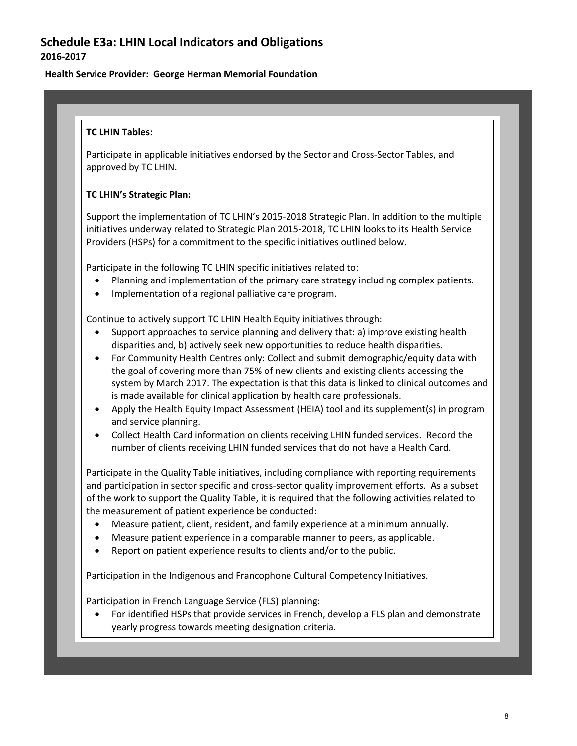# **Schedule E3a: LHIN Local Indicators and Obligations 2016-2017**

### **Health Service Provider: George Herman Memorial Foundation**

### **TC LHIN Tables:**

Participate in applicable initiatives endorsed by the Sector and Cross-Sector Tables, and approved by TC LHIN.

### **TC LHIN's Strategic Plan:**

Support the implementation of TC LHIN's 2015-2018 Strategic Plan. In addition to the multiple initiatives underway related to Strategic Plan 2015-2018, TC LHIN looks to its Health Service Providers (HSPs) for a commitment to the specific initiatives outlined below.

Participate in the following TC LHIN specific initiatives related to:

- Planning and implementation of the primary care strategy including complex patients.
- Implementation of a regional palliative care program.

Continue to actively support TC LHIN Health Equity initiatives through:

- Support approaches to service planning and delivery that: a) improve existing health disparities and, b) actively seek new opportunities to reduce health disparities.
- For Community Health Centres only: Collect and submit demographic/equity data with the goal of covering more than 75% of new clients and existing clients accessing the system by March 2017. The expectation is that this data is linked to clinical outcomes and is made available for clinical application by health care professionals.
- Apply the Health Equity Impact Assessment (HEIA) tool and its supplement(s) in program and service planning.
- Collect Health Card information on clients receiving LHIN funded services. Record the number of clients receiving LHIN funded services that do not have a Health Card.

Participate in the Quality Table initiatives, including compliance with reporting requirements and participation in sector specific and cross-sector quality improvement efforts. As a subset of the work to support the Quality Table, it is required that the following activities related to the measurement of patient experience be conducted:

- Measure patient, client, resident, and family experience at a minimum annually.
- Measure patient experience in a comparable manner to peers, as applicable.
- Report on patient experience results to clients and/or to the public.

Participation in the Indigenous and Francophone Cultural Competency Initiatives.

Participation in French Language Service (FLS) planning:

• For identified HSPs that provide services in French, develop a FLS plan and demonstrate yearly progress towards meeting designation criteria.